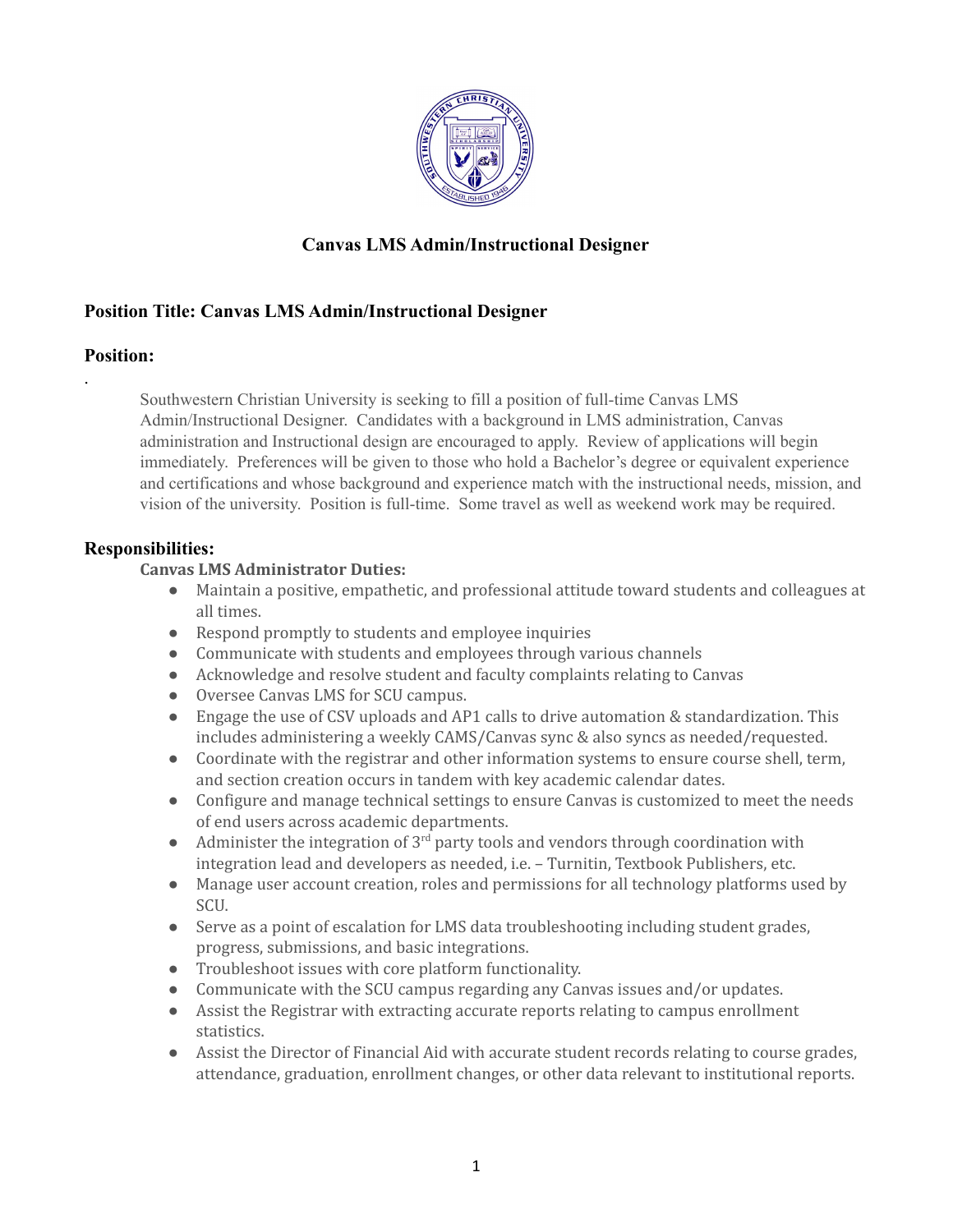

# **Canvas LMS Admin/Instructional Designer**

## **Position Title: Canvas LMS Admin/Instructional Designer**

### **Position:**

.

Southwestern Christian University is seeking to fill a position of full-time Canvas LMS Admin/Instructional Designer. Candidates with a background in LMS administration, Canvas administration and Instructional design are encouraged to apply. Review of applications will begin immediately. Preferences will be given to those who hold a Bachelor's degree or equivalent experience and certifications and whose background and experience match with the instructional needs, mission, and vision of the university. Position is full-time. Some travel as well as weekend work may be required.

### **Responsibilities:**

#### **Canvas LMS Administrator Duties:**

- Maintain a positive, empathetic, and professional attitude toward students and colleagues at all times.
- Respond promptly to students and employee inquiries
- Communicate with students and employees through various channels
- Acknowledge and resolve student and faculty complaints relating to Canvas
- Oversee Canvas LMS for SCU campus.
- Engage the use of CSV uploads and AP1 calls to drive automation & standardization. This includes administering a weekly CAMS/Canvas sync & also syncs as needed/requested.
- Coordinate with the registrar and other information systems to ensure course shell, term, and section creation occurs in tandem with key academic calendar dates.
- Configure and manage technical settings to ensure Canvas is customized to meet the needs of end users across academic departments.
- Administer the integration of 3<sup>rd</sup> party tools and vendors through coordination with integration lead and developers as needed, i.e. – Turnitin, Textbook Publishers, etc.
- Manage user account creation, roles and permissions for all technology platforms used by SCU.
- Serve as a point of escalation for LMS data troubleshooting including student grades, progress, submissions, and basic integrations.
- Troubleshoot issues with core platform functionality.
- Communicate with the SCU campus regarding any Canvas issues and/or updates.
- Assist the Registrar with extracting accurate reports relating to campus enrollment statistics.
- Assist the Director of Financial Aid with accurate student records relating to course grades, attendance, graduation, enrollment changes, or other data relevant to institutional reports.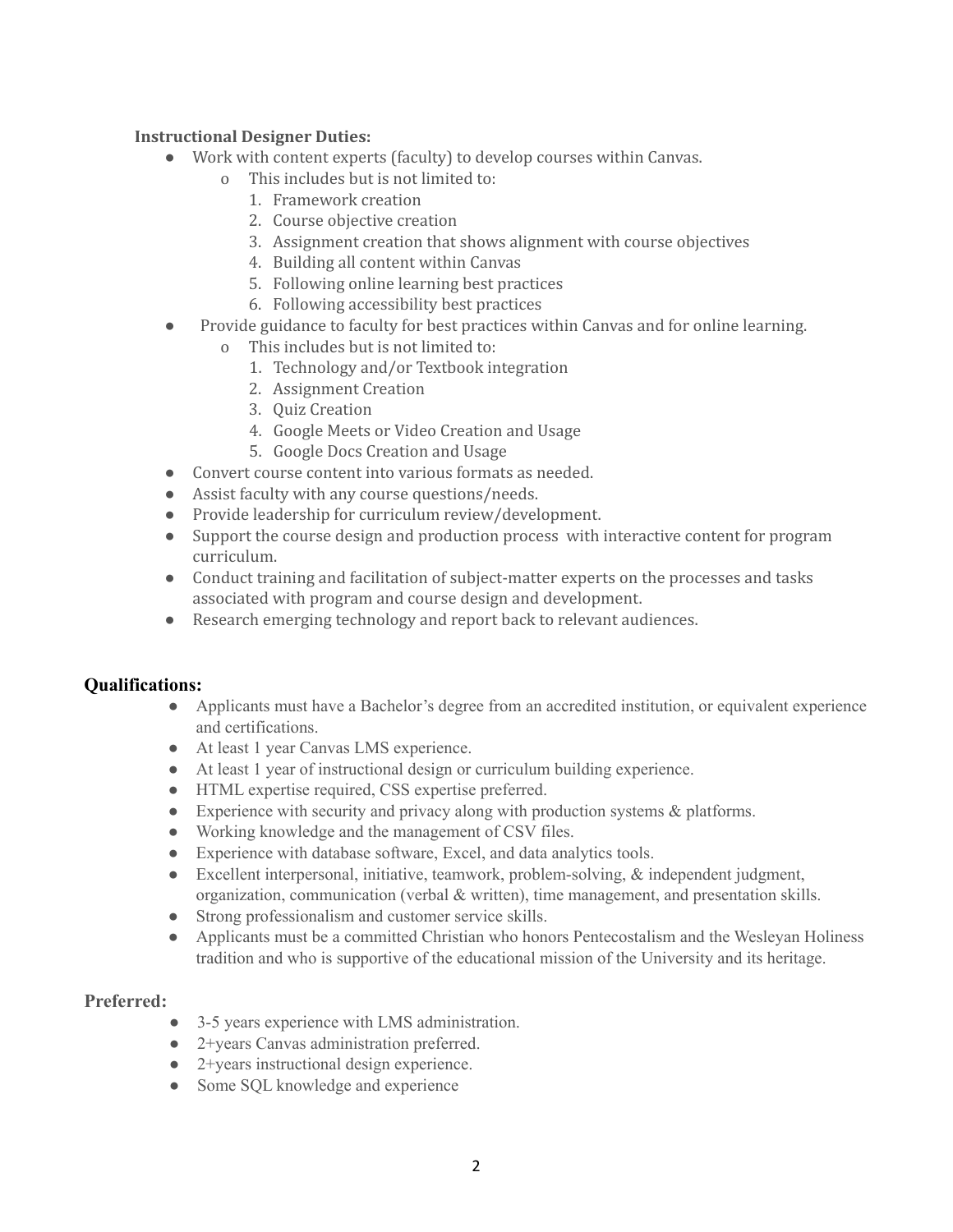#### **Instructional Designer Duties:**

- Work with content experts (faculty) to develop courses within Canvas.
	- This includes but is not limited to:
		- 1. Framework creation
		- 2. Course objective creation
		- 3. Assignment creation that shows alignment with course objectives
		- 4. Building all content within Canvas
		- 5. Following online learning best practices
	- 6. Following accessibility best practices
- Provide guidance to faculty for best practices within Canvas and for online learning.
	- o This includes but is not limited to:
		- 1. Technology and/or Textbook integration
		- 2. Assignment Creation
		- 3. Quiz Creation
		- 4. Google Meets or Video Creation and Usage
		- 5. Google Docs Creation and Usage
- Convert course content into various formats as needed.
- Assist faculty with any course questions/needs.
- Provide leadership for curriculum review/development.
- Support the course design and production process with interactive content for program curriculum.
- Conduct training and facilitation of subject-matter experts on the processes and tasks associated with program and course design and development.
- Research emerging technology and report back to relevant audiences.

#### **Qualifications:**

- Applicants must have a Bachelor's degree from an accredited institution, or equivalent experience and certifications.
- At least 1 year Canvas LMS experience.
- At least 1 year of instructional design or curriculum building experience.
- HTML expertise required, CSS expertise preferred.
- Experience with security and privacy along with production systems  $\&$  platforms.
- Working knowledge and the management of CSV files.
- Experience with database software, Excel, and data analytics tools.
- Excellent interpersonal, initiative, teamwork, problem-solving, & independent judgment, organization, communication (verbal  $\&$  written), time management, and presentation skills.
- Strong professionalism and customer service skills.
- Applicants must be a committed Christian who honors Pentecostalism and the Wesleyan Holiness tradition and who is supportive of the educational mission of the University and its heritage.

#### **Preferred:**

- 3-5 years experience with LMS administration.
- **●** 2+years Canvas administration preferred.
- 2+years instructional design experience.
- Some SQL knowledge and experience